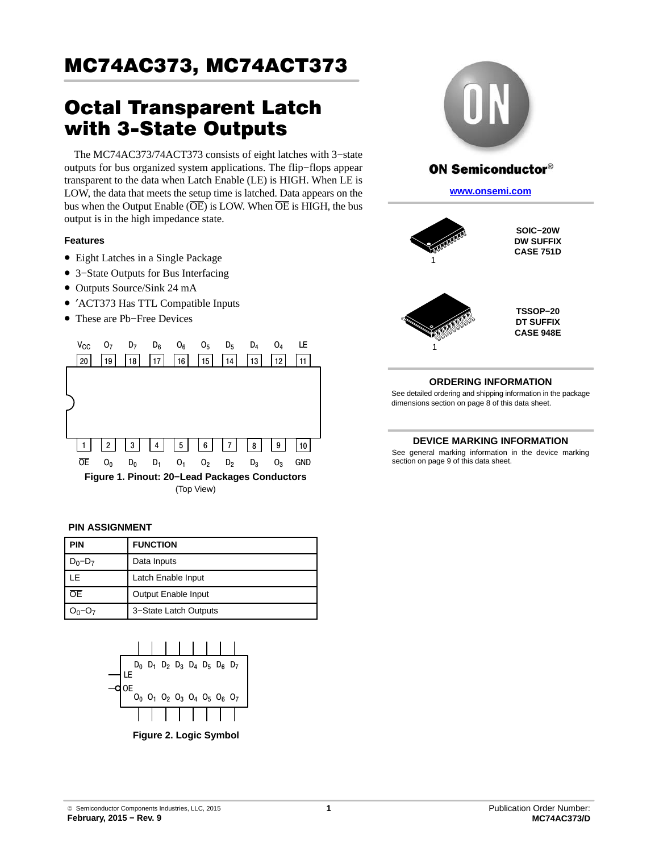# Octal Transparent Latch with 3-State Outputs

The MC74AC373/74ACT373 consists of eight latches with 3−state outputs for bus organized system applications. The flip−flops appear transparent to the data when Latch Enable (LE) is HIGH. When LE is LOW, the data that meets the setup time is latched. Data appears on the bus when the Output Enable  $(\overline{OE})$  is LOW. When  $\overline{OE}$  is HIGH, the bus output is in the high impedance state.

### **Features**

- Eight Latches in a Single Package
- 3−State Outputs for Bus Interfacing
- Outputs Source/Sink 24 mA
- ′ACT373 Has TTL Compatible Inputs
- These are Pb−Free Devices



#### **PIN ASSIGNMENT**

| <b>PIN</b>  | <b>FUNCTION</b>       |
|-------------|-----------------------|
| $D_0 - D_7$ | Data Inputs           |
| ΙF          | Latch Enable Input    |
| <b>OE</b>   | Output Enable Input   |
|             | 3-State Latch Outputs |



**Figure 2. Logic Symbol**







1

**TSSOP−20 DT SUFFIX CASE 948E**

### **ORDERING INFORMATION**

See detailed ordering and shipping information in the package dimensions section on page [8](#page-7-0) of this data sheet.

#### **DEVICE MARKING INFORMATION**

See general marking information in the device marking section on page 9 of this data sheet.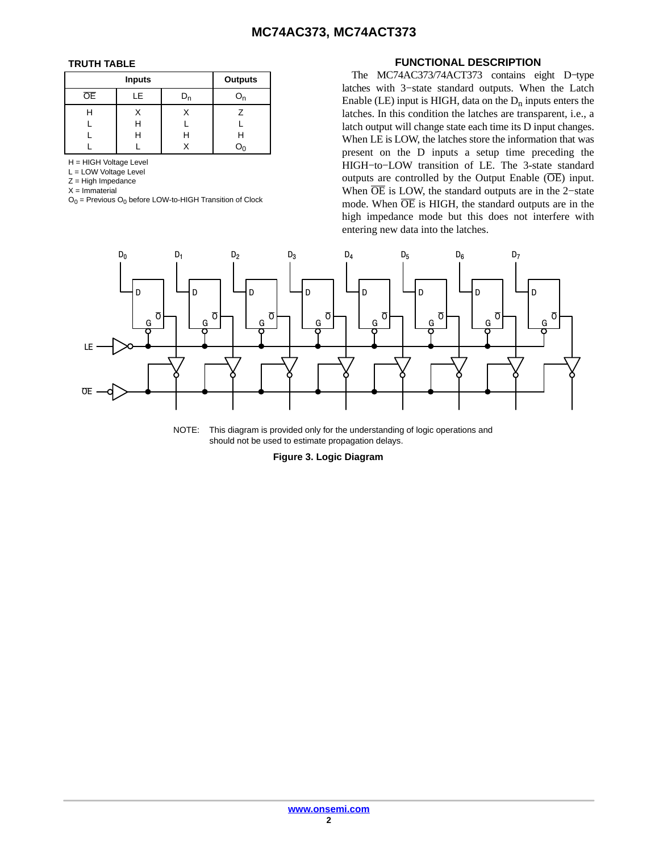#### **TRUTH TABLE**

|    | <b>Outputs</b> |   |  |
|----|----------------|---|--|
| ОE | LE             |   |  |
| н  |                |   |  |
|    | Н              |   |  |
|    | н              | н |  |
|    |                |   |  |

H = HIGH Voltage Level

L = LOW Voltage Level

Z = High Impedance

 $X = Immaterial$ 

 $O<sub>0</sub>$  = Previous  $O<sub>0</sub>$  before LOW-to-HIGH Transition of Clock

#### **FUNCTIONAL DESCRIPTION**

The MC74AC373/74ACT373 contains eight D−type latches with 3−state standard outputs. When the Latch Enable (LE) input is HIGH, data on the  $D_n$  inputs enters the latches. In this condition the latches are transparent, i.e., a latch output will change state each time its D input changes. When LE is LOW, the latches store the information that was present on the D inputs a setup time preceding the HIGH−to−LOW transition of LE. The 3-state standard outputs are controlled by the Output Enable  $(\overline{OE})$  input. When  $\overline{OE}$  is LOW, the standard outputs are in the 2-state mode. When  $\overline{OE}$  is HIGH, the standard outputs are in the high impedance mode but this does not interfere with entering new data into the latches.



NOTE: This diagram is provided only for the understanding of logic operations and should not be used to estimate propagation delays.

**Figure 3. Logic Diagram**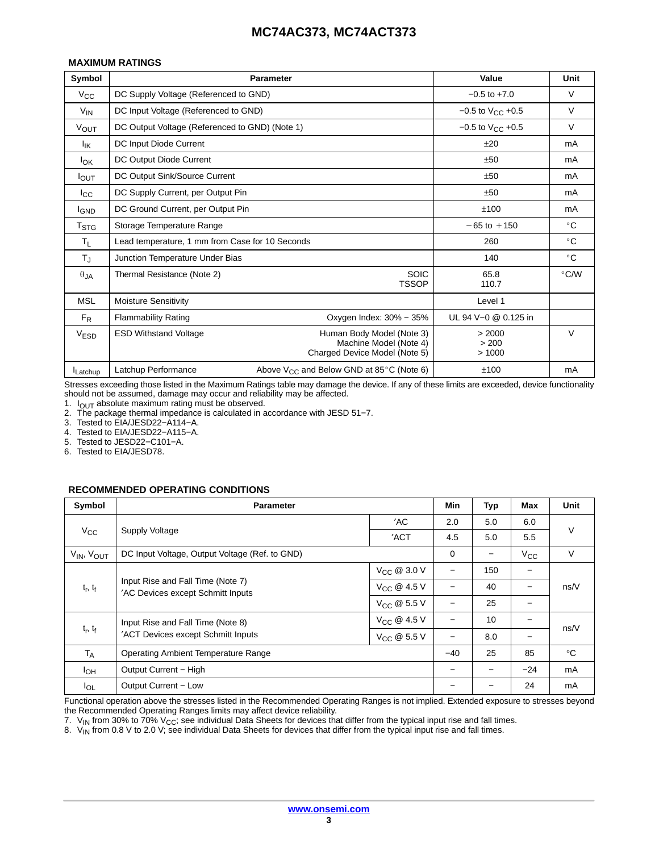#### **MAXIMUM RATINGS**

| Symbol           |                                                 | <b>Parameter</b>                                                                     | Value                    | Unit          |
|------------------|-------------------------------------------------|--------------------------------------------------------------------------------------|--------------------------|---------------|
| $V_{\rm CC}$     | DC Supply Voltage (Referenced to GND)           |                                                                                      | $-0.5$ to $+7.0$         | V             |
| $V_{IN}$         | DC Input Voltage (Referenced to GND)            | $-0.5$ to $V_{CC}$ +0.5                                                              | V                        |               |
| <b>VOUT</b>      | DC Output Voltage (Referenced to GND) (Note 1)  |                                                                                      | $-0.5$ to $V_{CC}$ +0.5  | V             |
| Ιıκ              | DC Input Diode Current                          |                                                                                      | ±20                      | mA            |
| <b>I</b> OK      | DC Output Diode Current                         |                                                                                      | ±50                      | mA            |
| $I_{\text{OUT}}$ | DC Output Sink/Source Current                   |                                                                                      | ±50                      | mA            |
| $_{\rm lcc}$     | DC Supply Current, per Output Pin               |                                                                                      | ±50                      | mA            |
| <b>I</b> GND     | DC Ground Current, per Output Pin               |                                                                                      | ±100                     | mA            |
| $T_{\text{STG}}$ | Storage Temperature Range                       |                                                                                      | $-65$ to $+150$          | $^{\circ}$ C  |
| Τı.              | Lead temperature, 1 mm from Case for 10 Seconds |                                                                                      | 260                      | $^{\circ}$ C  |
| $T_{\rm J}$      | Junction Temperature Under Bias                 |                                                                                      | 140                      | $^{\circ}$ C  |
| $\theta$ JA      | Thermal Resistance (Note 2)                     | <b>SOIC</b><br><b>TSSOP</b>                                                          | 65.8<br>110.7            | $\degree$ C/W |
| MSL              | <b>Moisture Sensitivity</b>                     |                                                                                      | Level 1                  |               |
| $F_R$            | <b>Flammability Rating</b>                      | Oxygen Index: 30% - 35%                                                              | UL 94 V-0 @ 0.125 in     |               |
| V <sub>ESD</sub> | <b>ESD Withstand Voltage</b>                    | Human Body Model (Note 3)<br>Machine Model (Note 4)<br>Charged Device Model (Note 5) | > 2000<br>> 200<br>>1000 | V             |
| Latchup          | Latchup Performance                             | Above $V_{CC}$ and Below GND at 85 $\degree$ C (Note 6)                              | ±100                     | mA            |

Stresses exceeding those listed in the Maximum Ratings table may damage the device. If any of these limits are exceeded, device functionality should not be assumed, damage may occur and reliability may be affected.

1.  $I_{OUT}$  absolute maximum rating must be observed.

2. The package thermal impedance is calculated in accordance with JESD 51−7.

3. Tested to EIA/JESD22−A114−A.

4. Tested to EIA/JESD22−A115−A.

5. Tested to JESD22−C101−A.

6. Tested to EIA/JESD78.

#### **RECOMMENDED OPERATING CONDITIONS**

| Symbol               | <b>Parameter</b>                                                       |                          | Min         | Typ   | Max               | Unit   |
|----------------------|------------------------------------------------------------------------|--------------------------|-------------|-------|-------------------|--------|
|                      |                                                                        | 'AC                      | 2.0         | 5.0   | 6.0               |        |
| $V_{\rm CC}$         | <b>Supply Voltage</b>                                                  | 'ACT                     | 4.5         | 5.0   | 5.5               | V      |
| $V_{IN}$ , $V_{OUT}$ | DC Input Voltage, Output Voltage (Ref. to GND)                         |                          | $\mathbf 0$ |       | $V_{\rm CC}$      | $\vee$ |
|                      |                                                                        | $V_{\text{CC}}$ @ 3.0 V  |             | 150   | -                 |        |
| $t_r$ , $t_f$        | Input Rise and Fall Time (Note 7)<br>'AC Devices except Schmitt Inputs | $V_{CC}$ @ 4.5 V         |             | 40    | $\qquad \qquad -$ | ns/V   |
|                      |                                                                        | $V_{CC}$ @ 5.5 V         |             | 25    |                   |        |
|                      | Input Rise and Fall Time (Note 8)                                      | $V_{CC}$ @ 4.5 V         |             | 10    |                   |        |
| $t_r$ , $t_f$        | 'ACT Devices except Schmitt Inputs<br>$V_{CC}$ @ 5.5 V                 |                          |             | 8.0   |                   | ns/V   |
| $T_A$                | Operating Ambient Temperature Range                                    | $-40$                    | 25          | 85    | $^{\circ}C$       |        |
| $I_{OH}$             | Output Current - High                                                  | $\overline{\phantom{0}}$ | -           | $-24$ | mA                |        |
| $I_{OL}$             | Output Current - Low                                                   |                          |             | 24    | mA                |        |

Functional operation above the stresses listed in the Recommended Operating Ranges is not implied. Extended exposure to stresses beyond the Recommended Operating Ranges limits may affect device reliability.

7.  $V_{IN}$  from 30% to 70%  $V_{CC}$ ; see individual Data Sheets for devices that differ from the typical input rise and fall times.

8.  $V_{\text{IN}}$  from 0.8 V to 2.0 V; see individual Data Sheets for devices that differ from the typical input rise and fall times.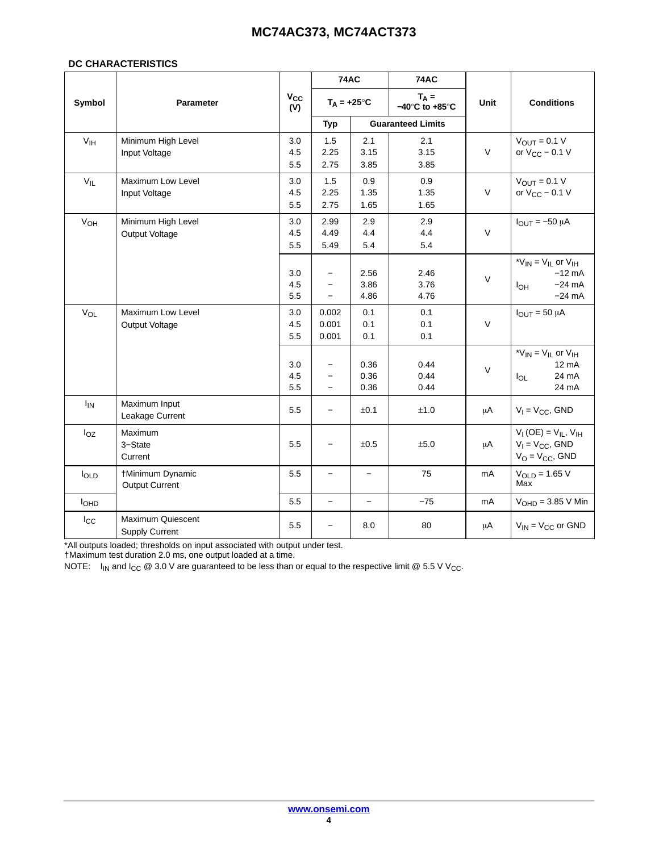#### **DC CHARACTERISTICS**

|                   |                                            |                   | <b>74AC</b>                                                        |                          | <b>74AC</b>                                   |        |                                                                                          |
|-------------------|--------------------------------------------|-------------------|--------------------------------------------------------------------|--------------------------|-----------------------------------------------|--------|------------------------------------------------------------------------------------------|
| Symbol            | <b>Parameter</b>                           | $V_{CC}$<br>(V)   | $T_A = +25^\circ C$                                                |                          | $T_A =$<br>$-40^{\circ}$ C to $+85^{\circ}$ C | Unit   | <b>Conditions</b>                                                                        |
|                   |                                            |                   | Typ                                                                |                          | <b>Guaranteed Limits</b>                      |        |                                                                                          |
| V <sub>IH</sub>   | Minimum High Level<br>Input Voltage        | 3.0<br>4.5<br>5.5 | 1.5<br>2.25<br>2.75                                                | 2.1<br>3.15<br>3.85      | 2.1<br>3.15<br>3.85                           | $\vee$ | $V_{OUT} = 0.1 V$<br>or $V_{CC}$ – 0.1 V                                                 |
| $V_{\parallel L}$ | Maximum Low Level<br>Input Voltage         | 3.0<br>4.5<br>5.5 | 1.5<br>2.25<br>2.75                                                | 0.9<br>1.35<br>1.65      | 0.9<br>1.35<br>1.65                           | $\vee$ | $V_{OUT} = 0.1 V$<br>or $V_{CC}$ – 0.1 V                                                 |
| VOH               | Minimum High Level<br>Output Voltage       | 3.0<br>4.5<br>5.5 | 2.99<br>4.49<br>5.49                                               | 2.9<br>4.4<br>5.4        | 2.9<br>4.4<br>5.4                             | $\vee$ | $I_{OUT} = -50 \mu A$                                                                    |
|                   |                                            | 3.0<br>4.5<br>5.5 | $\qquad \qquad -$<br>$\qquad \qquad -$<br>$\overline{\phantom{0}}$ | 2.56<br>3.86<br>4.86     | 2.46<br>3.76<br>4.76                          | $\vee$ | * $V_{IN}$ = $V_{IL}$ or $V_{IH}$<br>$-12$ mA<br>$-24$ mA<br>I <sub>OH</sub><br>$-24$ mA |
| $V_{OL}$          | Maximum Low Level<br>Output Voltage        | 3.0<br>4.5<br>5.5 | 0.002<br>0.001<br>0.001                                            | 0.1<br>0.1<br>0.1        | 0.1<br>0.1<br>0.1                             | $\vee$ | $I_{OUT} = 50 \mu A$                                                                     |
|                   |                                            | 3.0<br>4.5<br>5.5 | $\qquad \qquad -$<br>$\overline{\phantom{0}}$<br>$\equiv$          | 0.36<br>0.36<br>0.36     | 0.44<br>0.44<br>0.44                          | $\vee$ | * $V_{IN}$ = $V_{IL}$ or $V_{IH}$<br>$12 \text{ mA}$<br>24 mA<br>$I_{OL}$<br>24 mA       |
| $I_{IN}$          | Maximum Input<br>Leakage Current           | 5.5               | $\equiv$                                                           | ±0.1                     | ±1.0                                          | μA     | $V_1 = V_{CC}$ , GND                                                                     |
| $I_{OZ}$          | Maximum<br>3-State<br>Current              | 5.5               | $\equiv$                                                           | ±0.5                     | ±5.0                                          | μA     | $V_{I}$ (OE) = $V_{IL}$ , $V_{IH}$<br>$V_1 = V_{CC}$ , GND<br>$V_O = V_{CC}$ , GND       |
| loLD              | †Minimum Dynamic<br><b>Output Current</b>  | 5.5               | $\qquad \qquad -$                                                  | $\overline{\phantom{0}}$ | 75                                            | mA     | $V_{OLD} = 1.65 V$<br>Max                                                                |
| I <sub>OHD</sub>  |                                            | 5.5               | $\overline{a}$                                                     |                          | $-75$                                         | mA     | $VOHD = 3.85 V Min$                                                                      |
| $I_{\rm CC}$      | Maximum Quiescent<br><b>Supply Current</b> | 5.5               | $\overline{\phantom{0}}$                                           | 8.0                      | 80                                            | μA     | $V_{IN} = V_{CC}$ or GND                                                                 |

\*All outputs loaded; thresholds on input associated with output under test.

†Maximum test duration 2.0 ms, one output loaded at a time.

NOTE:  $I_{IN}$  and  $I_{CC}$  @ 3.0 V are guaranteed to be less than or equal to the respective limit @ 5.5 V V<sub>CC</sub>.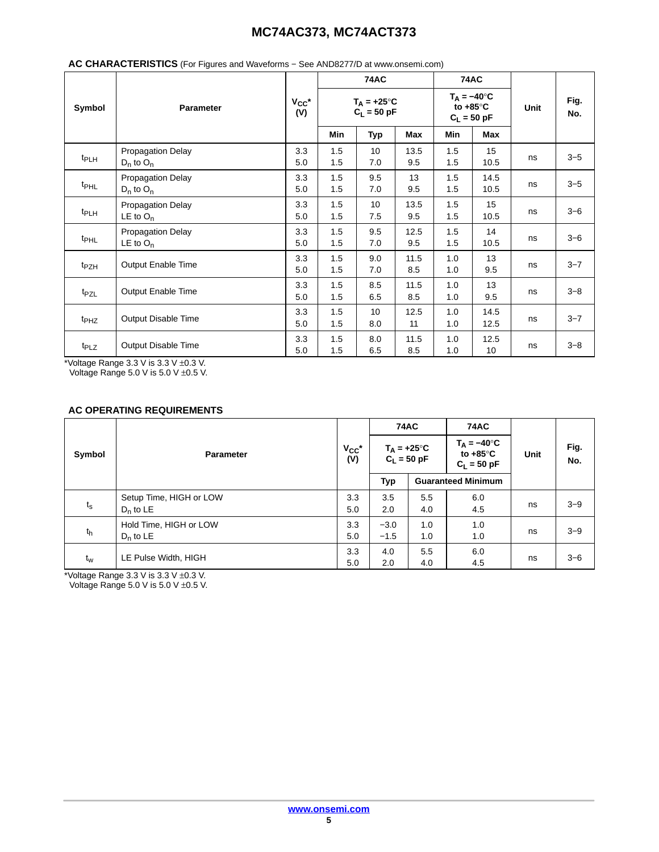|                  |                                            |                   |            | <b>74AC</b>                           |             |                                                            |              | <b>74AC</b> |             |  |  |
|------------------|--------------------------------------------|-------------------|------------|---------------------------------------|-------------|------------------------------------------------------------|--------------|-------------|-------------|--|--|
| Symbol           | <b>Parameter</b>                           | $V_{CC}$ *<br>(V) |            | $T_A = +25^{\circ}C$<br>$C_L = 50$ pF |             | $T_A = -40^\circ C$<br>to $+85^{\circ}$ C<br>$C_L = 50$ pF |              | <b>Unit</b> | Fig.<br>No. |  |  |
|                  |                                            |                   | Min        | <b>Typ</b>                            | Max         | Min                                                        | Max          |             |             |  |  |
| t <sub>PLH</sub> | Propagation Delay<br>$D_n$ to $O_n$        | 3.3<br>5.0        | 1.5<br>1.5 | 10<br>7.0                             | 13.5<br>9.5 | 1.5<br>1.5                                                 | 15<br>10.5   | ns          | $3 - 5$     |  |  |
| t <sub>PHL</sub> | <b>Propagation Delay</b><br>$D_n$ to $O_n$ | 3.3<br>5.0        | 1.5<br>1.5 | 9.5<br>7.0                            | 13<br>9.5   | 1.5<br>1.5                                                 | 14.5<br>10.5 | ns          | $3 - 5$     |  |  |
| t <sub>PLH</sub> | Propagation Delay<br>$LE$ to $O_n$         | 3.3<br>5.0        | 1.5<br>1.5 | 10<br>7.5                             | 13.5<br>9.5 | 1.5<br>1.5                                                 | 15<br>10.5   | ns          | $3 - 6$     |  |  |
| t <sub>PHL</sub> | Propagation Delay<br>LE to $O_n$           | 3.3<br>5.0        | 1.5<br>1.5 | 9.5<br>7.0                            | 12.5<br>9.5 | 1.5<br>1.5                                                 | 14<br>10.5   | ns          | $3 - 6$     |  |  |
| t <sub>PZH</sub> | Output Enable Time                         | 3.3<br>5.0        | 1.5<br>1.5 | 9.0<br>7.0                            | 11.5<br>8.5 | 1.0<br>1.0                                                 | 13<br>9.5    | ns          | $3 - 7$     |  |  |
| t <sub>PZL</sub> | Output Enable Time                         | 3.3<br>5.0        | 1.5<br>1.5 | 8.5<br>6.5                            | 11.5<br>8.5 | 1.0<br>1.0                                                 | 13<br>9.5    | ns          | $3 - 8$     |  |  |
| $t_{PHZ}$        | Output Disable Time                        | 3.3<br>5.0        | 1.5<br>1.5 | 10<br>8.0                             | 12.5<br>11  | 1.0<br>1.0                                                 | 14.5<br>12.5 | ns          | $3 - 7$     |  |  |
| t <sub>PLZ</sub> | Output Disable Time                        | 3.3<br>5.0        | 1.5<br>1.5 | 8.0<br>6.5                            | 11.5<br>8.5 | 1.0<br>1.0                                                 | 12.5<br>10   | ns          | $3 - 8$     |  |  |

### **AC CHARACTERISTICS** (For Figures and Waveforms − See AND8277/D at www.onsemi.com)

\*Voltage Range 3.3 V is 3.3 V ±0.3 V. Voltage Range 5.0 V is 5.0 V ±0.5 V.

### **AC OPERATING REQUIREMENTS**

|             |                                        |                   | <b>74AC</b>      |                      | <b>74AC</b>                                              |      |             |
|-------------|----------------------------------------|-------------------|------------------|----------------------|----------------------------------------------------------|------|-------------|
| Symbol      | <b>Parameter</b>                       | $V_{CC}$ *<br>(V) | $C_L = 50$ pF    | $T_A = +25^{\circ}C$ | $T_A = -40^\circ C$<br>to $+85^\circ$ C<br>$C_L = 50$ pF | Unit | Fig.<br>No. |
|             |                                        |                   | Typ              |                      | <b>Guaranteed Minimum</b>                                |      |             |
| $t_{\rm s}$ | Setup Time, HIGH or LOW<br>$D_n$ to LE | 3.3<br>5.0        | 3.5<br>2.0       | 5.5<br>4.0           | 6.0<br>4.5                                               | ns   | $3 - 9$     |
| $t_h$       | Hold Time, HIGH or LOW<br>$D_n$ to LE  | 3.3<br>5.0        | $-3.0$<br>$-1.5$ | 1.0<br>1.0           | 1.0<br>1.0                                               | ns   | $3 - 9$     |
| $t_w$       | LE Pulse Width, HIGH                   | 3.3<br>5.0        | 4.0<br>2.0       | 5.5<br>4.0           | 6.0<br>4.5                                               | ns   | $3 - 6$     |

\*Voltage Range 3.3 V is 3.3 V ±0.3 V.

Voltage Range 5.0 V is 5.0 V ±0.5 V.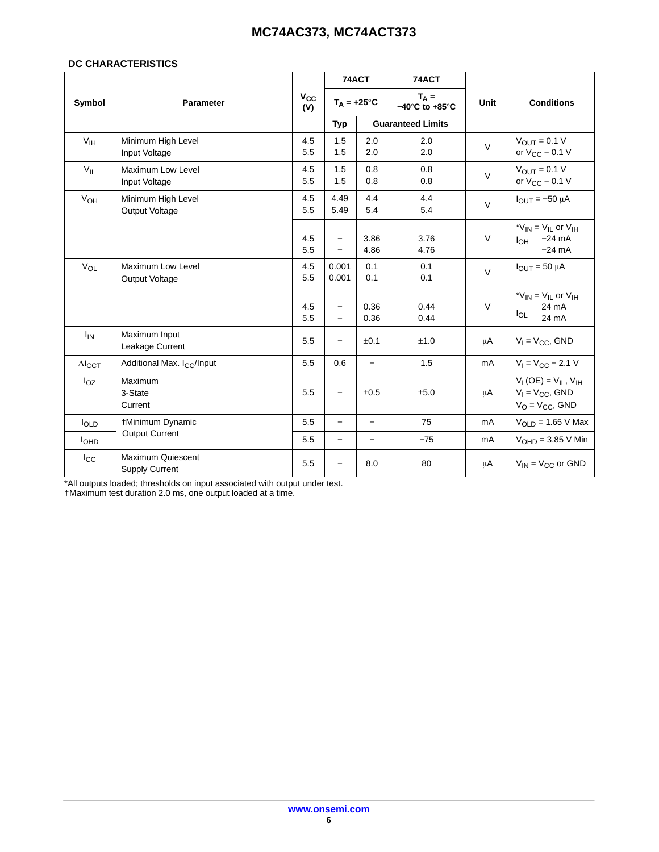#### **DC CHARACTERISTICS**

|                       |                                            |                     | 74ACT                                                |                          | 74ACT                                         |             |                                                                                    |
|-----------------------|--------------------------------------------|---------------------|------------------------------------------------------|--------------------------|-----------------------------------------------|-------------|------------------------------------------------------------------------------------|
| Symbol                | <b>Parameter</b>                           | $V_{\rm CC}$<br>(V) | $T_A = +25^{\circ}C$                                 |                          | $T_A =$<br>$-40^{\circ}$ C to $+85^{\circ}$ C | <b>Unit</b> | <b>Conditions</b>                                                                  |
|                       |                                            |                     | <b>Typ</b>                                           |                          | <b>Guaranteed Limits</b>                      |             |                                                                                    |
| V <sub>IH</sub>       | Minimum High Level<br>Input Voltage        | 4.5<br>5.5          | 1.5<br>1.5                                           | 2.0<br>2.0               | 2.0<br>2.0                                    | $\vee$      | $V_{\text{OUT}} = 0.1 V$<br>or $V_{CC}$ – 0.1 V                                    |
| $V_{IL}$              | Maximum Low Level<br>Input Voltage         | 4.5<br>5.5          | 1.5<br>1.5                                           | 0.8<br>0.8               | 0.8<br>0.8                                    | $\vee$      | $V_{\text{OUT}} = 0.1 V$<br>or $V_{CC}$ – 0.1 V                                    |
| V <sub>OH</sub>       | Minimum High Level<br>Output Voltage       | 4.5<br>5.5          | 4.49<br>5.49                                         | 4.4<br>5.4               | 4.4<br>5.4                                    | $\vee$      | $I_{\text{OUT}} = -50 \mu A$                                                       |
|                       |                                            | 4.5<br>5.5          | $\overline{\phantom{0}}$<br>$\overline{\phantom{0}}$ | 3.86<br>4.86             | 3.76<br>4.76                                  | $\vee$      | * $V_{IN}$ = $V_{IL}$ or $V_{IH}$<br>$-24$ mA<br>$I_{OH}$<br>$-24 \text{ mA}$      |
| <b>V<sub>OL</sub></b> | <b>Maximum Low Level</b><br>Output Voltage | 4.5<br>5.5          | 0.001<br>0.001                                       | 0.1<br>0.1               | 0.1<br>0.1                                    | $\vee$      | $I_{OUT} = 50 \mu A$                                                               |
|                       |                                            | 4.5<br>5.5          | $\overline{\phantom{0}}$<br>$\equiv$                 | 0.36<br>0.36             | 0.44<br>0.44                                  | $\vee$      | * $V_{IN}$ = $V_{IL}$ or $V_{IH}$<br>24 mA<br>$I_{OL}$<br>24 mA                    |
| $I_{IN}$              | Maximum Input<br>Leakage Current           | 5.5                 | $\overline{\phantom{0}}$                             | ±0.1                     | ±1.0                                          | μA          | $V_1 = V_{CC}$ , GND                                                               |
| $\Delta I_{CCT}$      | Additional Max. I <sub>CC</sub> /Input     | 5.5                 | 0.6                                                  | $\overline{\phantom{0}}$ | 1.5                                           | mA          | $V_1 = V_{CC} - 2.1 V$                                                             |
| $I_{OZ}$              | Maximum<br>3-State<br>Current              | 5.5                 | $\overline{\phantom{0}}$                             | ±0.5                     | ±5.0                                          | μA          | $V_{I}$ (OE) = $V_{IL}$ , $V_{IH}$<br>$V_1 = V_{CC}$ , GND<br>$V_O = V_{CC}$ , GND |
| loLD                  | †Minimum Dynamic                           | 5.5                 | $\qquad \qquad -$                                    | $\equiv$                 | 75                                            | mA          | $VOLD = 1.65 V Max$                                                                |
| I <sub>OHD</sub>      | <b>Output Current</b>                      | 5.5                 | $\equiv$                                             | $\overline{\phantom{0}}$ | $-75$                                         | mA          | $VOHD = 3.85 V Min$                                                                |
| $_{\text{Lcc}}$       | Maximum Quiescent<br><b>Supply Current</b> | 5.5                 |                                                      | 8.0                      | 80                                            | μA          | $V_{IN}$ = $V_{CC}$ or GND                                                         |

\*All outputs loaded; thresholds on input associated with output under test.

†Maximum test duration 2.0 ms, one output loaded at a time.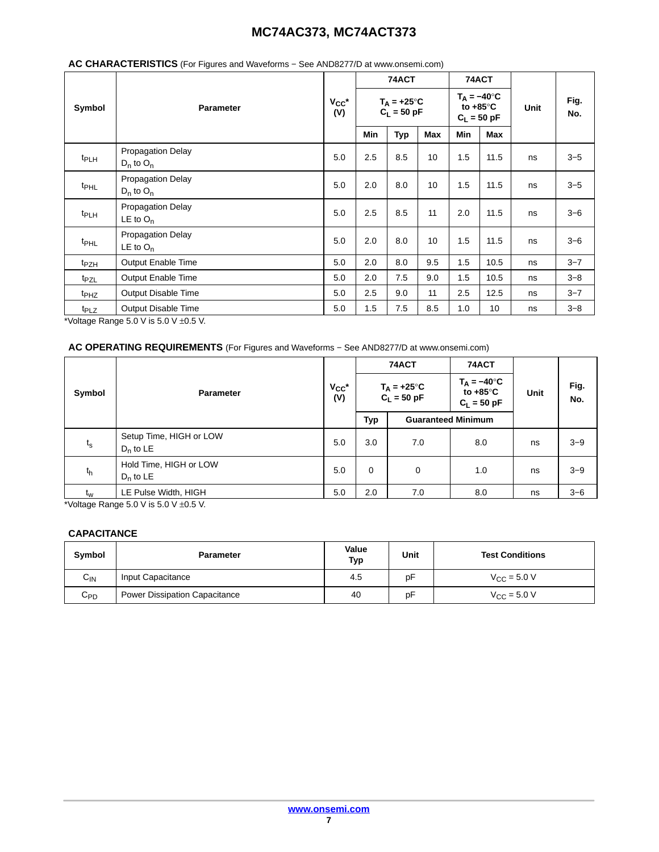|                  |                                            |     |                                      | 74ACT      |     | 74ACT                                                      |      |      |             |
|------------------|--------------------------------------------|-----|--------------------------------------|------------|-----|------------------------------------------------------------|------|------|-------------|
| Symbol           | <b>Parameter</b>                           |     | $T_A = +25^\circ C$<br>$C_L = 50$ pF |            |     | $T_A = -40^\circ C$<br>to $+85^{\circ}$ C<br>$C_L = 50$ pF |      | Unit | Fig.<br>No. |
|                  |                                            |     | Min                                  | <b>Typ</b> | Max | Min                                                        | Max  |      |             |
| t <sub>PLH</sub> | <b>Propagation Delay</b><br>$D_n$ to $O_n$ | 5.0 | 2.5                                  | 8.5        | 10  | 1.5                                                        | 11.5 | ns   | $3 - 5$     |
| t <sub>PHL</sub> | Propagation Delay<br>$D_n$ to $O_n$        | 5.0 | 2.0                                  | 8.0        | 10  | 1.5                                                        | 11.5 | ns   | $3 - 5$     |
| t <sub>PLH</sub> | <b>Propagation Delay</b><br>LE to $O_n$    | 5.0 | 2.5                                  | 8.5        | 11  | 2.0                                                        | 11.5 | ns   | $3 - 6$     |
| $t_{\text{PHL}}$ | <b>Propagation Delay</b><br>LE to $O_n$    | 5.0 | 2.0                                  | 8.0        | 10  | 1.5                                                        | 11.5 | ns   | $3 - 6$     |
| t <sub>PZH</sub> | Output Enable Time                         | 5.0 | 2.0                                  | 8.0        | 9.5 | 1.5                                                        | 10.5 | ns   | $3 - 7$     |
| t <sub>PZL</sub> | Output Enable Time                         | 5.0 | 2.0                                  | 7.5        | 9.0 | 1.5                                                        | 10.5 | ns   | $3 - 8$     |
| t <sub>PHZ</sub> | Output Disable Time                        | 5.0 | 2.5                                  | 9.0        | 11  | 2.5                                                        | 12.5 | ns   | $3 - 7$     |
| t <sub>PLZ</sub> | <b>Output Disable Time</b>                 | 5.0 | 1.5                                  | 7.5        | 8.5 | 1.0                                                        | 10   | ns   | $3 - 8$     |

#### **AC CHARACTERISTICS** (For Figures and Waveforms − See AND8277/D at www.onsemi.com)

\*Voltage Range 5.0 V is 5.0 V  $\pm$ 0.5 V.

#### **AC OPERATING REQUIREMENTS** (For Figures and Waveforms − See AND8277/D at www.onsemi.com)

|             |                                        |                   | 74ACT<br>$T_A = +25^{\circ}C$<br>$C_L = 50$ pF |                           | 74ACT |    |         |  |                                                          |
|-------------|----------------------------------------|-------------------|------------------------------------------------|---------------------------|-------|----|---------|--|----------------------------------------------------------|
| Symbol      | <b>Parameter</b>                       | $V_{CC}$ *<br>(V) |                                                |                           |       |    |         |  | $T_A = -40^\circ C$<br>to $+85^\circ$ C<br>$C_L = 50$ pF |
|             |                                        |                   | <b>Typ</b>                                     | <b>Guaranteed Minimum</b> |       |    |         |  |                                                          |
| $t_{\rm s}$ | Setup Time, HIGH or LOW<br>$D_n$ to LE | 5.0               | 3.0                                            | 7.0                       | 8.0   | ns | $3 - 9$ |  |                                                          |
| $t_h$       | Hold Time, HIGH or LOW<br>$D_n$ to LE  | 5.0               | $\mathbf 0$                                    | 0                         | 1.0   | ns | $3 - 9$ |  |                                                          |
| $t_w$       | LE Pulse Width, HIGH                   | 5.0               | 2.0                                            | 7.0                       | 8.0   | ns | $3 - 6$ |  |                                                          |

\*Voltage Range  $5.0$  V is  $5.0$  V  $\pm 0.5$  V.

#### **CAPACITANCE**

| Symbol               | <b>Parameter</b>                     | Value<br>Typ | Unit | <b>Test Conditions</b>          |
|----------------------|--------------------------------------|--------------|------|---------------------------------|
| $\sim$<br><b>UIN</b> | Input Capacitance                    | 4.5          | pF   | $V_{\text{CC}} = 5.0 \text{ V}$ |
| $C_{PD}$             | <b>Power Dissipation Capacitance</b> | 40           | pF   | $V_{C}$ = 5.0 V                 |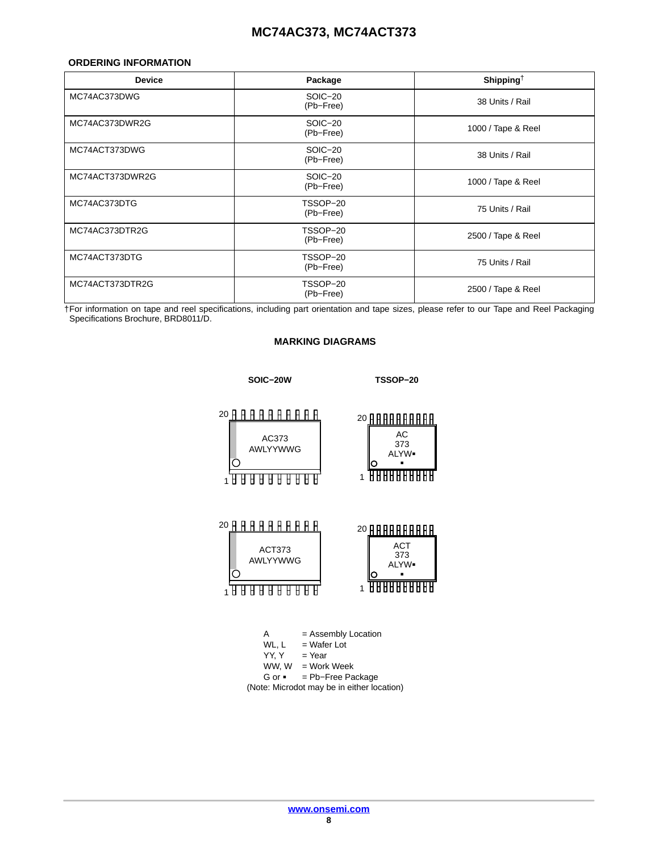#### <span id="page-7-0"></span>**ORDERING INFORMATION**

| <b>Device</b>   | Package               | Shipping <sup><math>\dagger</math></sup> |
|-----------------|-----------------------|------------------------------------------|
| MC74AC373DWG    | SOIC-20<br>(Pb-Free)  | 38 Units / Rail                          |
| MC74AC373DWR2G  | SOIC-20<br>(Pb-Free)  | 1000 / Tape & Reel                       |
| MC74ACT373DWG   | SOIC-20<br>(Pb-Free)  | 38 Units / Rail                          |
| MC74ACT373DWR2G | SOIC-20<br>(Pb-Free)  | 1000 / Tape & Reel                       |
| MC74AC373DTG    | TSSOP-20<br>(Pb-Free) | 75 Units / Rail                          |
| MC74AC373DTR2G  | TSSOP-20<br>(Pb-Free) | 2500 / Tape & Reel                       |
| MC74ACT373DTG   | TSSOP-20<br>(Pb-Free) | 75 Units / Rail                          |
| MC74ACT373DTR2G | TSSOP-20<br>(Pb-Free) | 2500 / Tape & Reel                       |

†For information on tape and reel specifications, including part orientation and tape sizes, please refer to our Tape and Reel Packaging Specifications Brochure, BRD8011/D.

#### **MARKING DIAGRAMS**



- WL,  $L$  = Wafer Lot<br>YY, Y = Year
- $=$  Year
- $WW, W = Work Week$
- G or = Pb−Free Package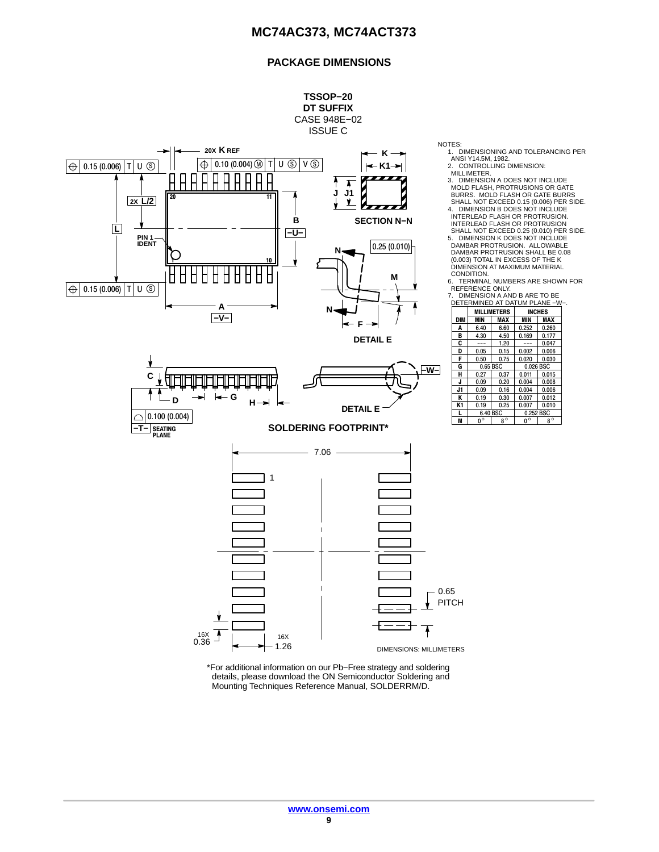### **PACKAGE DIMENSIONS**